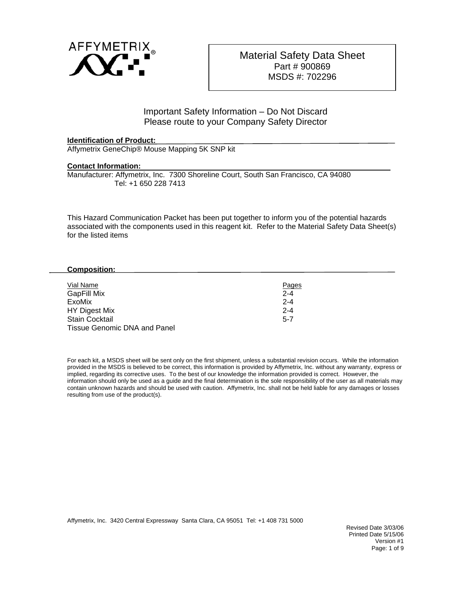

## Important Safety Information – Do Not Discard Please route to your Company Safety Director

## **Identification of Product:**

Affymetrix GeneChip® Mouse Mapping 5K SNP kit

## **Contact Information:**

Manufacturer: Affymetrix, Inc. 7300 Shoreline Court, South San Francisco, CA 94080 Tel: +1 650 228 7413

This Hazard Communication Packet has been put together to inform you of the potential hazards associated with the components used in this reagent kit. Refer to the Material Safety Data Sheet(s) for the listed items

## **Composition:**

| Vial Name                    | Pages   |
|------------------------------|---------|
| <b>GapFill Mix</b>           | $2 - 4$ |
| ExoMix                       | $2 - 4$ |
| HY Digest Mix                | $2 - 4$ |
| <b>Stain Cocktail</b>        | $5 - 7$ |
| Tissue Genomic DNA and Panel |         |

For each kit, a MSDS sheet will be sent only on the first shipment, unless a substantial revision occurs. While the information provided in the MSDS is believed to be correct, this information is provided by Affymetrix, Inc. without any warranty, express or implied, regarding its corrective uses. To the best of our knowledge the information provided is correct. However, the information should only be used as a guide and the final determination is the sole responsibility of the user as all materials may contain unknown hazards and should be used with caution. Affymetrix, Inc. shall not be held liable for any damages or losses resulting from use of the product(s).

Affymetrix, Inc. 3420 Central Expressway Santa Clara, CA 95051 Tel: +1 408 731 5000

Revised Date 3/03/06 Printed Date 5/15/06 Version #1 Page: 1 of 9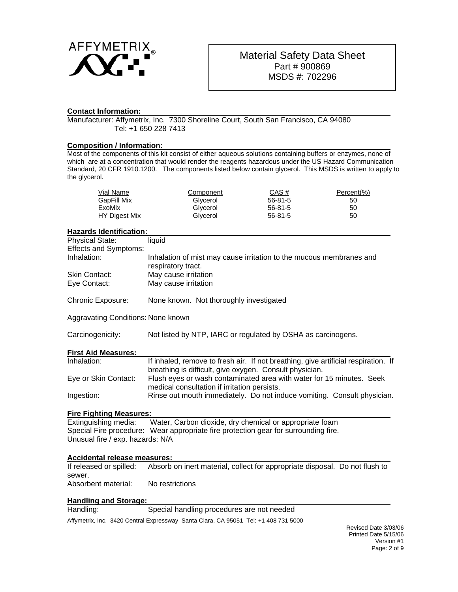

## **Contact Information:**

Manufacturer: Affymetrix, Inc. 7300 Shoreline Court, South San Francisco, CA 94080 Tel: +1 650 228 7413

#### **Composition / Information:**

Most of the components of this kit consist of either aqueous solutions containing buffers or enzymes, none of which are at a concentration that would render the reagents hazardous under the US Hazard Communication Standard, 20 CFR 1910.1200. The components listed below contain glycerol. This MSDS is written to apply to the glycerol.

| Vial Name     | Component | CAS#    | Percent(%) |
|---------------|-----------|---------|------------|
| GapFill Mix   | Glycerol  | 56-81-5 | 50         |
| ExoMix        | Glycerol  | 56-81-5 | 50         |
| HY Digest Mix | Glycerol  | 56-81-5 | 50         |

#### **Hazards Identification:**

| <b>Hazards identification:</b>     |                                                                                                                                               |  |  |
|------------------------------------|-----------------------------------------------------------------------------------------------------------------------------------------------|--|--|
| <b>Physical State:</b>             | liquid                                                                                                                                        |  |  |
| <b>Effects and Symptoms:</b>       |                                                                                                                                               |  |  |
| Inhalation:                        | Inhalation of mist may cause irritation to the mucous membranes and<br>respiratory tract.                                                     |  |  |
| Skin Contact:                      | May cause irritation                                                                                                                          |  |  |
| Eye Contact:                       | May cause irritation                                                                                                                          |  |  |
| Chronic Exposure:                  | None known. Not thoroughly investigated                                                                                                       |  |  |
| Aggravating Conditions: None known |                                                                                                                                               |  |  |
| Carcinogenicity:                   | Not listed by NTP, IARC or regulated by OSHA as carcinogens.                                                                                  |  |  |
| <b>First Aid Measures:</b>         |                                                                                                                                               |  |  |
| Inhalation:                        | If inhaled, remove to fresh air. If not breathing, give artificial respiration. If<br>breathing is difficult, give oxygen. Consult physician. |  |  |
| Eye or Skin Contact:               | Flush eyes or wash contaminated area with water for 15 minutes. Seek<br>medical consultation if irritation persists.                          |  |  |
| Ingestion:                         | Rinse out mouth immediately. Do not induce vomiting. Consult physician.                                                                       |  |  |
| <b>Fire Fighting Measures:</b>     |                                                                                                                                               |  |  |

Extinguishing media: Water, Carbon dioxide, dry chemical or appropriate foam Special Fire procedure: Wear appropriate fire protection gear for surrounding fire. Unusual fire / exp. hazards: N/A

#### **Accidental release measures:**

| If released or spilled: | Absorb on inert material, collect for appropriate disposal. Do not flush to |  |
|-------------------------|-----------------------------------------------------------------------------|--|
| sewer.                  |                                                                             |  |
| Absorbent material:     | No restrictions                                                             |  |

## **Handling and Storage:**

Handling: Special handling procedures are not needed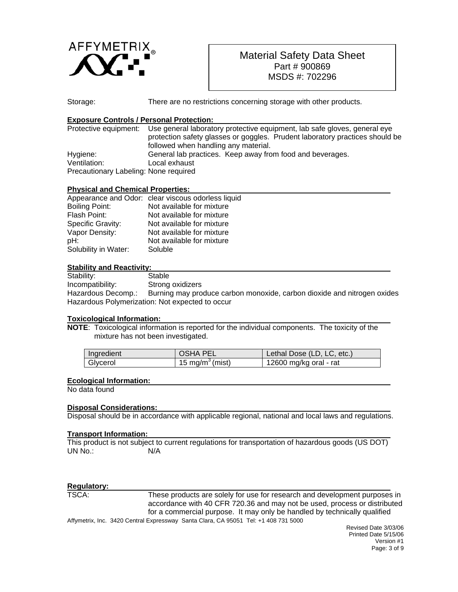

Storage: There are no restrictions concerning storage with other products.

## **Exposure Controls / Personal Protection:**

|                                       | Protective equipment: Use general laboratory protective equipment, lab safe gloves, general eye |  |
|---------------------------------------|-------------------------------------------------------------------------------------------------|--|
|                                       | protection safety glasses or goggles. Prudent laboratory practices should be                    |  |
|                                       | followed when handling any material.                                                            |  |
| Hygiene:                              | General lab practices. Keep away from food and beverages.                                       |  |
| Ventilation:                          | Local exhaust                                                                                   |  |
| Precautionary Labeling: None required |                                                                                                 |  |

## **Physical and Chemical Properties:**

|                       | Appearance and Odor: clear viscous odorless liquid |
|-----------------------|----------------------------------------------------|
| <b>Boiling Point:</b> | Not available for mixture                          |
| Flash Point:          | Not available for mixture                          |
| Specific Gravity:     | Not available for mixture                          |
| Vapor Density:        | Not available for mixture                          |
| pH:                   | Not available for mixture                          |
| Solubility in Water:  | Soluble                                            |
|                       |                                                    |

## **Stability and Reactivity:**

Stability: Stable Incompatibility: Strong oxidizers Hazardous Decomp.: Burning may produce carbon monoxide, carbon dioxide and nitrogen oxides Hazardous Polymerization: Not expected to occur

## **Toxicological Information:**

**NOTE**: Toxicological information is reported for the individual components. The toxicity of the mixture has not been investigated.

| Ingredient | <b>OSHA PEL</b>             | Lethal Dose (LD, LC, etc.) |
|------------|-----------------------------|----------------------------|
| Glycerol   | 15 mg/m <sup>3</sup> (mist) | 12600 mg/kg oral - rat     |

## **Ecological Information:**

No data found

## **Disposal Considerations:**

Disposal should be in accordance with applicable regional, national and local laws and regulations.

## **Transport Information:**

This product is not subject to current regulations for transportation of hazardous goods (US DOT) UN No.: N/A

# **Regulatory:**

Affymetrix, Inc. 3420 Central Expressway Santa Clara, CA 95051 Tel: +1 408 731 5000 These products are solely for use for research and development purposes in accordance with 40 CFR 720.36 and may not be used, process or distributed for a commercial purpose. It may only be handled by technically qualified

Revised Date 3/03/06 Printed Date 5/15/06 Version #1 Page: 3 of 9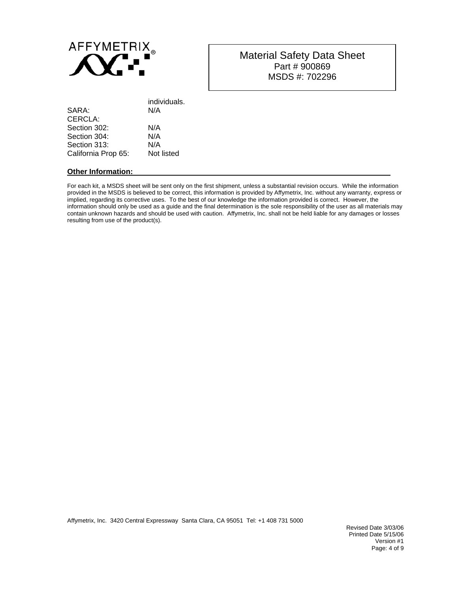

| individuals. |
|--------------|
| N/A          |
|              |
| N/A          |
| N/A          |
| N/A          |
| Not listed   |
|              |

### **Other Information:**

For each kit, a MSDS sheet will be sent only on the first shipment, unless a substantial revision occurs. While the information provided in the MSDS is believed to be correct, this information is provided by Affymetrix, Inc. without any warranty, express or implied, regarding its corrective uses. To the best of our knowledge the information provided is correct. However, the information should only be used as a guide and the final determination is the sole responsibility of the user as all materials may contain unknown hazards and should be used with caution. Affymetrix, Inc. shall not be held liable for any damages or losses resulting from use of the product(s).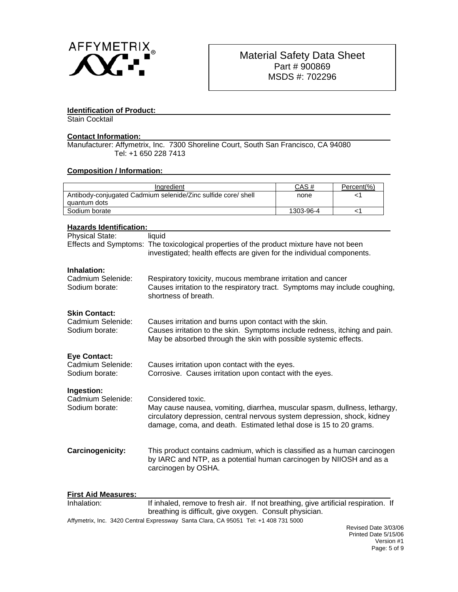

## **Identification of Product:**

Stain Cocktail

## **Contact Information:**

Manufacturer: Affymetrix, Inc. 7300 Shoreline Court, South San Francisco, CA 94080 Tel: +1 650 228 7413

## **Composition / Information:**

| Ingredient                                                    |                                                                                                                                                                                                                                                 | CAS#      | Percent(%) |
|---------------------------------------------------------------|-------------------------------------------------------------------------------------------------------------------------------------------------------------------------------------------------------------------------------------------------|-----------|------------|
| Antibody-conjugated Cadmium selenide/Zinc sulfide core/ shell |                                                                                                                                                                                                                                                 | none      | -1         |
| quantum dots                                                  |                                                                                                                                                                                                                                                 |           |            |
| Sodium borate                                                 |                                                                                                                                                                                                                                                 | 1303-96-4 | <1         |
| <b>Hazards Identification:</b>                                |                                                                                                                                                                                                                                                 |           |            |
| <b>Physical State:</b>                                        | liquid<br>Effects and Symptoms: The toxicological properties of the product mixture have not been<br>investigated; health effects are given for the individual components.                                                                      |           |            |
| Inhalation:<br>Cadmium Selenide:<br>Sodium borate:            | Respiratory toxicity, mucous membrane irritation and cancer<br>Causes irritation to the respiratory tract. Symptoms may include coughing,<br>shortness of breath.                                                                               |           |            |
| <b>Skin Contact:</b><br>Cadmium Selenide:<br>Sodium borate:   | Causes irritation and burns upon contact with the skin.<br>Causes irritation to the skin. Symptoms include redness, itching and pain.<br>May be absorbed through the skin with possible systemic effects.                                       |           |            |
| <b>Eye Contact:</b><br>Cadmium Selenide:<br>Sodium borate:    | Causes irritation upon contact with the eyes.<br>Corrosive. Causes irritation upon contact with the eyes.                                                                                                                                       |           |            |
| Ingestion:<br>Cadmium Selenide:<br>Sodium borate:             | Considered toxic.<br>May cause nausea, vomiting, diarrhea, muscular spasm, dullness, lethargy,<br>circulatory depression, central nervous system depression, shock, kidney<br>damage, coma, and death. Estimated lethal dose is 15 to 20 grams. |           |            |
| Carcinogenicity:                                              | This product contains cadmium, which is classified as a human carcinogen<br>by IARC and NTP, as a potential human carcinogen by NIIOSH and as a<br>carcinogen by OSHA.                                                                          |           |            |
| <b>First Aid Measures:</b>                                    |                                                                                                                                                                                                                                                 |           |            |

| Inhalation: | If inhaled, remove to fresh air. If not breathing, give artificial respiration. If  |  |
|-------------|-------------------------------------------------------------------------------------|--|
|             | breathing is difficult, give oxygen. Consult physician.                             |  |
|             | Affymetrix, Inc. 3420 Central Expressway Santa Clara, CA 95051 Tel: +1 408 731 5000 |  |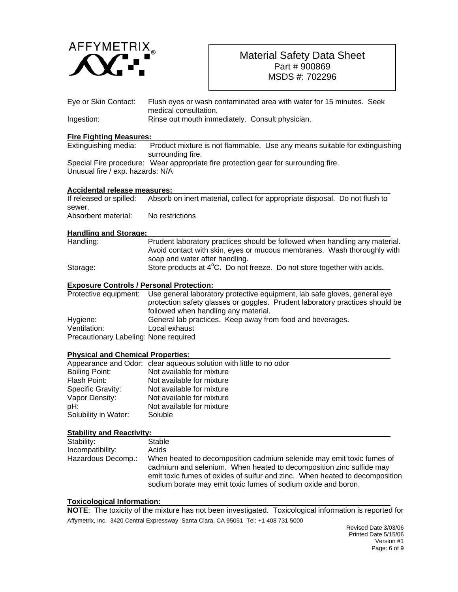

| Eye or Skin Contact:                            | Flush eyes or wash contaminated area with water for 15 minutes. Seek<br>medical consultation.                                                                                                                                                                                                |  |  |
|-------------------------------------------------|----------------------------------------------------------------------------------------------------------------------------------------------------------------------------------------------------------------------------------------------------------------------------------------------|--|--|
| Ingestion:                                      | Rinse out mouth immediately. Consult physician.                                                                                                                                                                                                                                              |  |  |
|                                                 |                                                                                                                                                                                                                                                                                              |  |  |
| <b>Fire Fighting Measures:</b>                  |                                                                                                                                                                                                                                                                                              |  |  |
| Extinguishing media:                            | Product mixture is not flammable. Use any means suitable for extinguishing<br>surrounding fire.                                                                                                                                                                                              |  |  |
|                                                 | Special Fire procedure: Wear appropriate fire protection gear for surrounding fire.                                                                                                                                                                                                          |  |  |
| Unusual fire / exp. hazards: N/A                |                                                                                                                                                                                                                                                                                              |  |  |
| Accidental release measures:                    |                                                                                                                                                                                                                                                                                              |  |  |
| If released or spilled:                         | Absorb on inert material, collect for appropriate disposal. Do not flush to                                                                                                                                                                                                                  |  |  |
| sewer.                                          |                                                                                                                                                                                                                                                                                              |  |  |
| Absorbent material:                             | No restrictions                                                                                                                                                                                                                                                                              |  |  |
| <b>Handling and Storage:</b>                    |                                                                                                                                                                                                                                                                                              |  |  |
| Handling:                                       | Prudent laboratory practices should be followed when handling any material.<br>Avoid contact with skin, eyes or mucous membranes. Wash thoroughly with                                                                                                                                       |  |  |
|                                                 | soap and water after handling.                                                                                                                                                                                                                                                               |  |  |
| Storage:                                        | Store products at 4°C. Do not freeze. Do not store together with acids.                                                                                                                                                                                                                      |  |  |
| <b>Exposure Controls / Personal Protection:</b> |                                                                                                                                                                                                                                                                                              |  |  |
| Protective equipment:                           | Use general laboratory protective equipment, lab safe gloves, general eye<br>protection safety glasses or goggles. Prudent laboratory practices should be<br>followed when handling any material.                                                                                            |  |  |
| Hygiene:                                        | General lab practices. Keep away from food and beverages.                                                                                                                                                                                                                                    |  |  |
| Ventilation:                                    | Local exhaust                                                                                                                                                                                                                                                                                |  |  |
| Precautionary Labeling: None required           |                                                                                                                                                                                                                                                                                              |  |  |
| <b>Physical and Chemical Properties:</b>        |                                                                                                                                                                                                                                                                                              |  |  |
|                                                 | Appearance and Odor: clear aqueous solution with little to no odor                                                                                                                                                                                                                           |  |  |
| <b>Boiling Point:</b>                           | Not available for mixture                                                                                                                                                                                                                                                                    |  |  |
| Flash Point:                                    | Not available for mixture                                                                                                                                                                                                                                                                    |  |  |
| Specific Gravity:                               | Not available for mixture                                                                                                                                                                                                                                                                    |  |  |
| Vapor Density:                                  | Not available for mixture                                                                                                                                                                                                                                                                    |  |  |
| pH:                                             | Not available for mixture                                                                                                                                                                                                                                                                    |  |  |
| Solubility in Water:                            | Soluble                                                                                                                                                                                                                                                                                      |  |  |
| <b>Stability and Reactivity:</b>                |                                                                                                                                                                                                                                                                                              |  |  |
| Stability:                                      | Stable                                                                                                                                                                                                                                                                                       |  |  |
| Incompatibility:                                | Acids                                                                                                                                                                                                                                                                                        |  |  |
| Hazardous Decomp.:                              | When heated to decomposition cadmium selenide may emit toxic fumes of<br>cadmium and selenium. When heated to decomposition zinc sulfide may<br>emit toxic fumes of oxides of sulfur and zinc. When heated to decomposition<br>sodium borate may emit toxic fumes of sodium oxide and boron. |  |  |
|                                                 |                                                                                                                                                                                                                                                                                              |  |  |

## **Toxicological Information:**

Affymetrix, Inc. 3420 Central Expressway Santa Clara, CA 95051 Tel: +1 408 731 5000 **NOTE**: The toxicity of the mixture has not been investigated. Toxicological information is reported for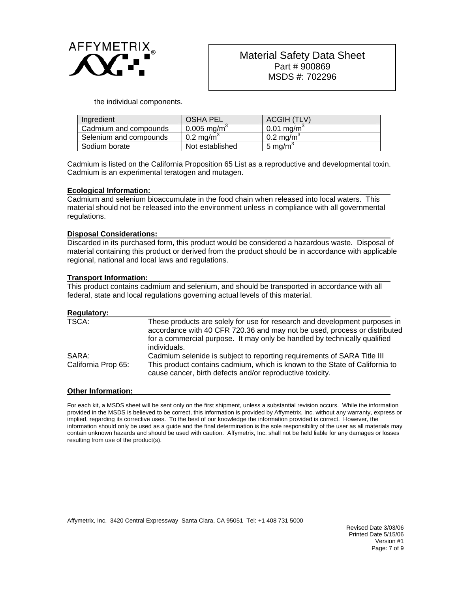

the individual components.

| Ingredient             | <b>OSHA PEL</b>           | ACGIH (TLV)              |
|------------------------|---------------------------|--------------------------|
| Cadmium and compounds  | $0.005 \,\mathrm{mg/m}^3$ | $0.01$ mg/m <sup>3</sup> |
| Selenium and compounds | $0.2 \text{ mg/m}^3$      | $0.2 \text{ mg/m}^3$     |
| Sodium borate          | Not established           | 5 mg/m <sup>3</sup>      |

Cadmium is listed on the California Proposition 65 List as a reproductive and developmental toxin. Cadmium is an experimental teratogen and mutagen.

#### **Ecological Information:**

Cadmium and selenium bioaccumulate in the food chain when released into local waters. This material should not be released into the environment unless in compliance with all governmental regulations.

## **Disposal Considerations:**

Discarded in its purchased form, this product would be considered a hazardous waste. Disposal of material containing this product or derived from the product should be in accordance with applicable regional, national and local laws and regulations.

#### **Transport Information:**

This product contains cadmium and selenium, and should be transported in accordance with all federal, state and local regulations governing actual levels of this material.

| <b>Regulatory:</b>           |                                                                                                                                                                                                                                                      |
|------------------------------|------------------------------------------------------------------------------------------------------------------------------------------------------------------------------------------------------------------------------------------------------|
| TSCA:                        | These products are solely for use for research and development purposes in<br>accordance with 40 CFR 720.36 and may not be used, process or distributed<br>for a commercial purpose. It may only be handled by technically qualified<br>individuals. |
| SARA:<br>California Prop 65: | Cadmium selenide is subject to reporting requirements of SARA Title III<br>This product contains cadmium, which is known to the State of California to<br>cause cancer, birth defects and/or reproductive toxicity.                                  |

## **Other Information:**

For each kit, a MSDS sheet will be sent only on the first shipment, unless a substantial revision occurs. While the information provided in the MSDS is believed to be correct, this information is provided by Affymetrix, Inc. without any warranty, express or implied, regarding its corrective uses. To the best of our knowledge the information provided is correct. However, the information should only be used as a guide and the final determination is the sole responsibility of the user as all materials may contain unknown hazards and should be used with caution. Affymetrix, Inc. shall not be held liable for any damages or losses resulting from use of the product(s).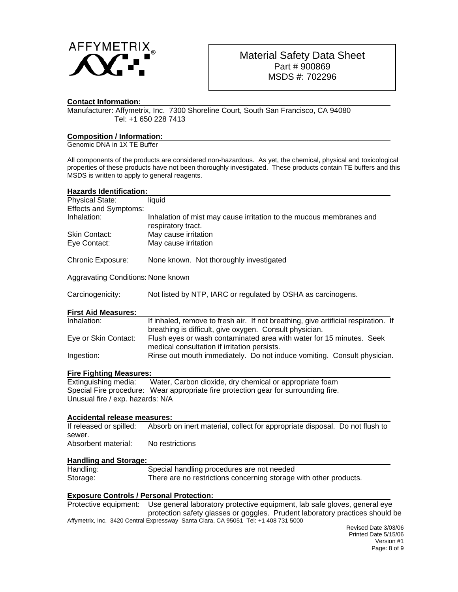

## **Contact Information:**

Manufacturer: Affymetrix, Inc. 7300 Shoreline Court, South San Francisco, CA 94080 Tel: +1 650 228 7413

## **Composition / Information:**

Genomic DNA in 1X TE Buffer

All components of the products are considered non-hazardous. As yet, the chemical, physical and toxicological properties of these products have not been thoroughly investigated. These products contain TE buffers and this MSDS is written to apply to general reagents.

| <b>Hazards Identification:</b>                  |                                                                                                                                                                                 |
|-------------------------------------------------|---------------------------------------------------------------------------------------------------------------------------------------------------------------------------------|
| <b>Physical State:</b>                          | liquid                                                                                                                                                                          |
| <b>Effects and Symptoms:</b>                    |                                                                                                                                                                                 |
| Inhalation:                                     | Inhalation of mist may cause irritation to the mucous membranes and<br>respiratory tract.                                                                                       |
| Skin Contact:                                   | May cause irritation                                                                                                                                                            |
| Eye Contact:                                    | May cause irritation                                                                                                                                                            |
| Chronic Exposure:                               | None known. Not thoroughly investigated                                                                                                                                         |
| Aggravating Conditions: None known              |                                                                                                                                                                                 |
| Carcinogenicity:                                | Not listed by NTP, IARC or regulated by OSHA as carcinogens.                                                                                                                    |
| <b>First Aid Measures:</b>                      |                                                                                                                                                                                 |
| Inhalation:                                     | If inhaled, remove to fresh air. If not breathing, give artificial respiration. If<br>breathing is difficult, give oxygen. Consult physician.                                   |
| Eye or Skin Contact:                            | Flush eyes or wash contaminated area with water for 15 minutes. Seek<br>medical consultation if irritation persists.                                                            |
| Ingestion:                                      | Rinse out mouth immediately. Do not induce vomiting. Consult physician.                                                                                                         |
| <b>Fire Fighting Measures:</b>                  |                                                                                                                                                                                 |
| Extinguishing media:                            | Water, Carbon dioxide, dry chemical or appropriate foam                                                                                                                         |
| Unusual fire / exp. hazards: N/A                | Special Fire procedure: Wear appropriate fire protection gear for surrounding fire.                                                                                             |
| <b>Accidental release measures:</b>             |                                                                                                                                                                                 |
| If released or spilled:<br>sewer.               | Absorb on inert material, collect for appropriate disposal. Do not flush to                                                                                                     |
| Absorbent material:                             | No restrictions                                                                                                                                                                 |
| <b>Handling and Storage:</b>                    |                                                                                                                                                                                 |
| Handling:                                       | Special handling procedures are not needed                                                                                                                                      |
| Storage:                                        | There are no restrictions concerning storage with other products.                                                                                                               |
| <b>Exposure Controls / Personal Protection:</b> |                                                                                                                                                                                 |
|                                                 | Protective equipment: Use general laboratory protective equipment, lab safe gloves, general eye<br>protection safety glasses or goggles. Prudent laboratory practices should be |
|                                                 | Affymetrix, Inc. 3420 Central Expressway Santa Clara, CA 95051 Tel: +1 408 731 5000                                                                                             |